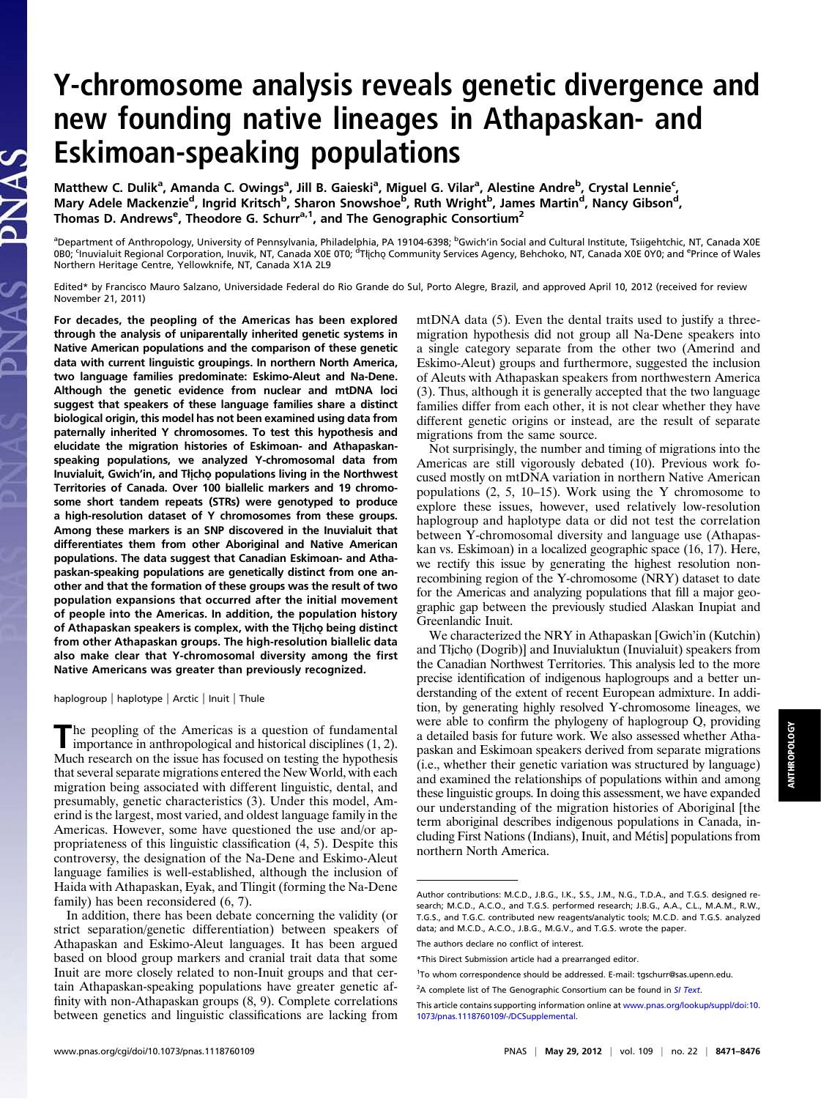# Y-chromosome analysis reveals genetic divergence and new founding native lineages in Athapaskan- and Eskimoan-speaking populations

Matthew C. Dulik<sup>a</sup>, Amanda C. Owings<sup>a</sup>, Jill B. Gaieski<sup>a</sup>, Miguel G. Vilar<sup>a</sup>, Alestine Andre<sup>b</sup>, Crystal Lennie<sup>c</sup>, Mary Adele Mackenzie<sup>d</sup>, Ingrid Kritsch<sup>b</sup>, Sharon Snowshoe<sup>b</sup>, Ruth Wright<sup>b</sup>, James Martin<sup>d</sup>, Nancy Gibson<sup>d</sup>, Thomas D. Andrews<sup>e</sup>, Theodore G. Schurr<sup>a,1</sup>, and The Genographic Consortium<sup>2</sup>

<sup>a</sup>Department of Anthropology, University of Pennsylvania, Philadelphia, PA 19104-6398; <sup>b</sup>Gwich'in Social and Cultural Institute, Tsiigehtchic, NT, Canada X0E<br>0B0; <sup>c</sup>Inuvialuit Regional Corporation, Inuvik, NT, Canada X0 Northern Heritage Centre, Yellowknife, NT, Canada X1A 2L9

Edited\* by Francisco Mauro Salzano, Universidade Federal do Rio Grande do Sul, Porto Alegre, Brazil, and approved April 10, 2012 (received for review November 21, 2011)

For decades, the peopling of the Americas has been explored through the analysis of uniparentally inherited genetic systems in Native American populations and the comparison of these genetic data with current linguistic groupings. In northern North America, two language families predominate: Eskimo-Aleut and Na-Dene. Although the genetic evidence from nuclear and mtDNA loci suggest that speakers of these language families share a distinct biological origin, this model has not been examined using data from paternally inherited Y chromosomes. To test this hypothesis and elucidate the migration histories of Eskimoan- and Athapaskanspeaking populations, we analyzed Y-chromosomal data from Inuvialuit, Gwich'in, and Tłicho populations living in the Northwest Territories of Canada. Over 100 biallelic markers and 19 chromosome short tandem repeats (STRs) were genotyped to produce a high-resolution dataset of Y chromosomes from these groups. Among these markers is an SNP discovered in the Inuvialuit that differentiates them from other Aboriginal and Native American populations. The data suggest that Canadian Eskimoan- and Athapaskan-speaking populations are genetically distinct from one another and that the formation of these groups was the result of two population expansions that occurred after the initial movement of people into the Americas. In addition, the population history of Athapaskan speakers is complex, with the Tłicho being distinct from other Athapaskan groups. The high-resolution biallelic data also make clear that Y-chromosomal diversity among the first Native Americans was greater than previously recognized.

haplogroup | haplotype | Arctic | Inuit | Thule

The peopling of the Americas is a question of fundamental importance in anthropological and historical disciplines (1, 2). Much research on the issue has focused on testing the hypothesis that several separate migrations entered the New World, with each migration being associated with different linguistic, dental, and presumably, genetic characteristics (3). Under this model, Amerind is the largest, most varied, and oldest language family in the Americas. However, some have questioned the use and/or appropriateness of this linguistic classification (4, 5). Despite this controversy, the designation of the Na-Dene and Eskimo-Aleut language families is well-established, although the inclusion of Haida with Athapaskan, Eyak, and Tlingit (forming the Na-Dene family) has been reconsidered (6, 7).

In addition, there has been debate concerning the validity (or strict separation/genetic differentiation) between speakers of Athapaskan and Eskimo-Aleut languages. It has been argued based on blood group markers and cranial trait data that some Inuit are more closely related to non-Inuit groups and that certain Athapaskan-speaking populations have greater genetic affinity with non-Athapaskan groups (8, 9). Complete correlations between genetics and linguistic classifications are lacking from mtDNA data (5). Even the dental traits used to justify a threemigration hypothesis did not group all Na-Dene speakers into a single category separate from the other two (Amerind and Eskimo-Aleut) groups and furthermore, suggested the inclusion of Aleuts with Athapaskan speakers from northwestern America (3). Thus, although it is generally accepted that the two language families differ from each other, it is not clear whether they have different genetic origins or instead, are the result of separate migrations from the same source.

Not surprisingly, the number and timing of migrations into the Americas are still vigorously debated (10). Previous work focused mostly on mtDNA variation in northern Native American populations (2, 5, 10–15). Work using the Y chromosome to explore these issues, however, used relatively low-resolution haplogroup and haplotype data or did not test the correlation between Y-chromosomal diversity and language use (Athapaskan vs. Eskimoan) in a localized geographic space (16, 17). Here, we rectify this issue by generating the highest resolution nonrecombining region of the Y-chromosome (NRY) dataset to date for the Americas and analyzing populations that fill a major geographic gap between the previously studied Alaskan Inupiat and Greenlandic Inuit.

We characterized the NRY in Athapaskan [Gwich'in (Kutchin) and Tłicho (Dogrib)] and Inuvialuktun (Inuvialuit) speakers from the Canadian Northwest Territories. This analysis led to the more precise identification of indigenous haplogroups and a better understanding of the extent of recent European admixture. In addition, by generating highly resolved Y-chromosome lineages, we were able to confirm the phylogeny of haplogroup Q, providing a detailed basis for future work. We also assessed whether Athapaskan and Eskimoan speakers derived from separate migrations (i.e., whether their genetic variation was structured by language) and examined the relationships of populations within and among these linguistic groups. In doing this assessment, we have expanded our understanding of the migration histories of Aboriginal [the term aboriginal describes indigenous populations in Canada, including First Nations (Indians), Inuit, and Métis] populations from northern North America.

Author contributions: M.C.D., J.B.G., I.K., S.S., J.M., N.G., T.D.A., and T.G.S. designed research; M.C.D., A.C.O., and T.G.S. performed research; J.B.G., A.A., C.L., M.A.M., R.W., T.G.S., and T.G.C. contributed new reagents/analytic tools; M.C.D. and T.G.S. analyzed data; and M.C.D., A.C.O., J.B.G., M.G.V., and T.G.S. wrote the paper.

The authors declare no conflict of interest.

<sup>\*</sup>This Direct Submission article had a prearranged editor.

<sup>1</sup> To whom correspondence should be addressed. E-mail: [tgschurr@sas.upenn.edu.](mailto:tgschurr@sas.upenn.edu)

<sup>&</sup>lt;sup>2</sup>A complete list of The Genographic Consortium can be found in [SI Text](http://www.pnas.org/lookup/suppl/doi:10.1073/pnas.1118760109/-/DCSupplemental/pnas.201118760SI.pdf?targetid=nameddest=STXT).

This article contains supporting information online at [www.pnas.org/lookup/suppl/doi:10.](http://www.pnas.org/lookup/suppl/doi:10.1073/pnas.1118760109/-/DCSupplemental) [1073/pnas.1118760109/-/DCSupplemental](http://www.pnas.org/lookup/suppl/doi:10.1073/pnas.1118760109/-/DCSupplemental).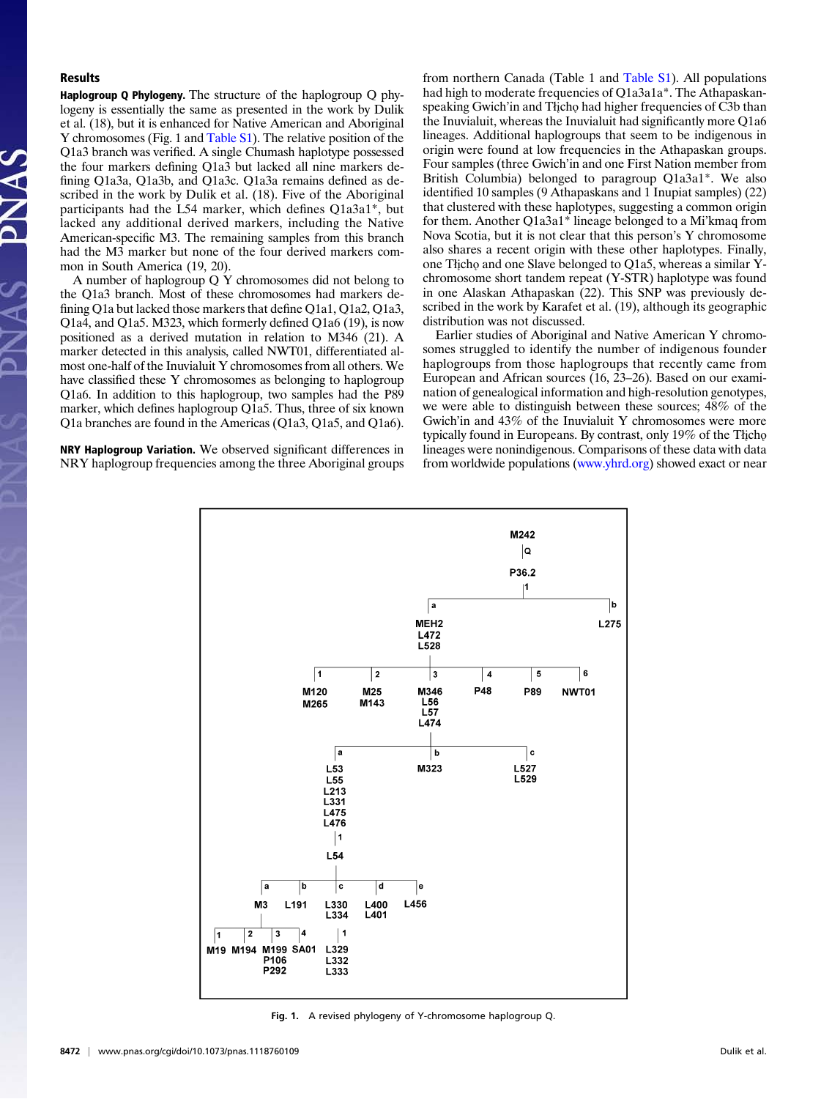# Results

Haplogroup Q Phylogeny. The structure of the haplogroup Q phylogeny is essentially the same as presented in the work by Dulik et al. (18), but it is enhanced for Native American and Aboriginal Y chromosomes (Fig. 1 and [Table S1\)](http://www.pnas.org/lookup/suppl/doi:10.1073/pnas.1118760109/-/DCSupplemental/st01.xlsx). The relative position of the Q1a3 branch was verified. A single Chumash haplotype possessed the four markers defining Q1a3 but lacked all nine markers defining Q1a3a, Q1a3b, and Q1a3c. Q1a3a remains defined as described in the work by Dulik et al. (18). Five of the Aboriginal participants had the L54 marker, which defines Q1a3a1\*, but lacked any additional derived markers, including the Native American-specific M3. The remaining samples from this branch had the M3 marker but none of the four derived markers common in South America (19, 20).

A number of haplogroup Q Y chromosomes did not belong to the Q1a3 branch. Most of these chromosomes had markers defining Q1a but lacked those markers that define Q1a1, Q1a2, Q1a3, Q1a4, and Q1a5. M323, which formerly defined Q1a6 (19), is now positioned as a derived mutation in relation to M346 (21). A marker detected in this analysis, called NWT01, differentiated almost one-half of the Inuvialuit Y chromosomes from all others. We have classified these Y chromosomes as belonging to haplogroup Q1a6. In addition to this haplogroup, two samples had the P89 marker, which defines haplogroup Q1a5. Thus, three of six known Q1a branches are found in the Americas (Q1a3, Q1a5, and Q1a6).

NRY Haplogroup Variation. We observed significant differences in NRY haplogroup frequencies among the three Aboriginal groups from northern Canada (Table 1 and [Table S1](http://www.pnas.org/lookup/suppl/doi:10.1073/pnas.1118760109/-/DCSupplemental/st01.xlsx)). All populations had high to moderate frequencies of Q1a3a1a\*. The Athapaskanspeaking Gwich'in and Tłicho had higher frequencies of C3b than the Inuvialuit, whereas the Inuvialuit had significantly more Q1a6 lineages. Additional haplogroups that seem to be indigenous in origin were found at low frequencies in the Athapaskan groups. Four samples (three Gwich'in and one First Nation member from British Columbia) belonged to paragroup Q1a3a1\*. We also identified 10 samples (9 Athapaskans and 1 Inupiat samples) (22) that clustered with these haplotypes, suggesting a common origin for them. Another Q1a3a1\* lineage belonged to a Mi'kmaq from Nova Scotia, but it is not clear that this person's Y chromosome also shares a recent origin with these other haplotypes. Finally, one Tłįcho and one Slave belonged to Q1a5, whereas a similar Ychromosome short tandem repeat (Y-STR) haplotype was found in one Alaskan Athapaskan (22). This SNP was previously described in the work by Karafet et al. (19), although its geographic distribution was not discussed.

Earlier studies of Aboriginal and Native American Y chromosomes struggled to identify the number of indigenous founder haplogroups from those haplogroups that recently came from European and African sources (16, 23–26). Based on our examination of genealogical information and high-resolution genotypes, we were able to distinguish between these sources; 48% of the Gwich'in and 43% of the Inuvialuit Y chromosomes were more typically found in Europeans. By contrast, only 19% of the Tłicho lineages were nonindigenous. Comparisons of these data with data from worldwide populations ([www.yhrd.org\)](http://www.yhrd.org) showed exact or near



Fig. 1. A revised phylogeny of Y-chromosome haplogroup Q.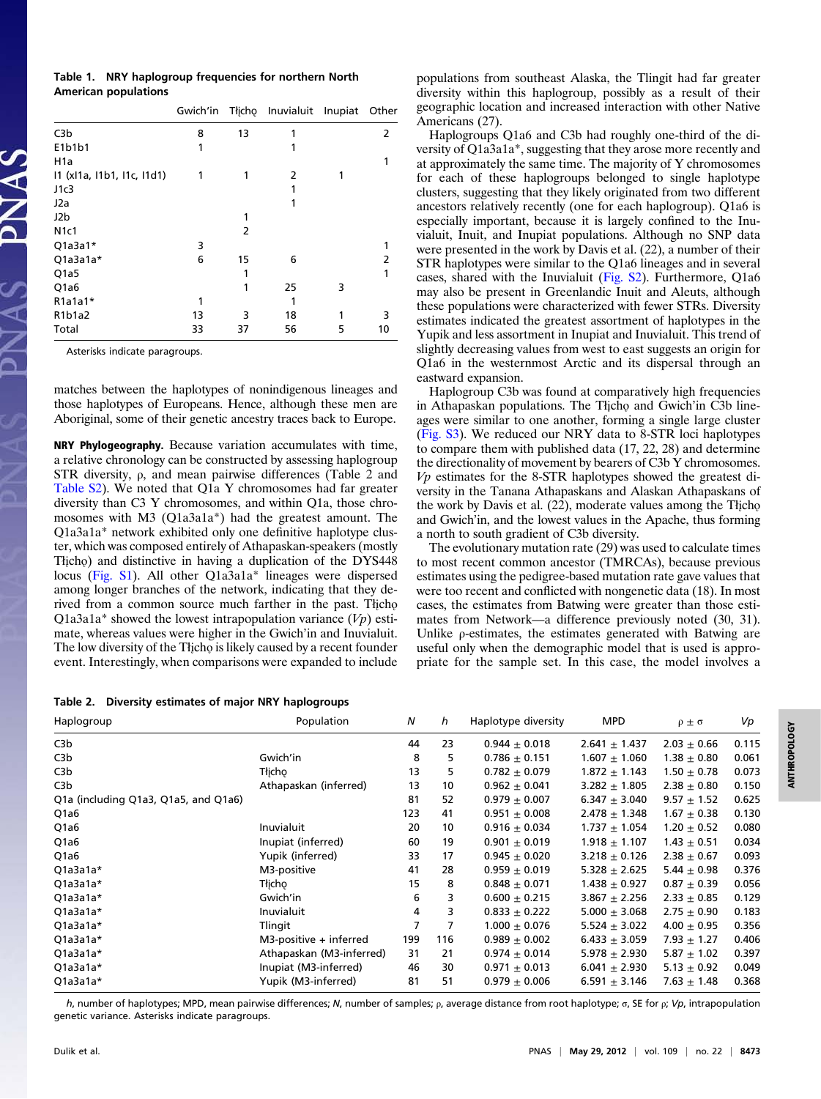## Table 1. NRY haplogroup frequencies for northern North American populations

|                                              | Gwich'in |    | Tłicho Inuvialuit Inupiat |   | Other |
|----------------------------------------------|----------|----|---------------------------|---|-------|
| C3b                                          | 8        | 13 |                           |   | 2     |
| E1b1b1                                       | 1        |    |                           |   |       |
| H <sub>1</sub> a                             |          |    |                           |   |       |
| I1 (xI1a, I1b1, I1c, I1d1)                   | 1        | 1  | 2                         | 1 |       |
| J1c3                                         |          |    |                           |   |       |
| J2a                                          |          |    | 1                         |   |       |
| J2b                                          |          |    |                           |   |       |
| <b>N1c1</b>                                  |          | 2  |                           |   |       |
| $Q1a3a1*$                                    | 3        |    |                           |   |       |
| Q1a3a1a*                                     | 6        | 15 | 6                         |   | 2     |
| Q <sub>1</sub> a <sub>5</sub>                |          | 1  |                           |   | 1     |
| Q <sub>1</sub> a <sub>6</sub>                |          | 1  | 25                        | 3 |       |
| $R1a1a1*$                                    | 1        |    |                           |   |       |
| R <sub>1</sub> b <sub>1</sub> a <sub>2</sub> | 13       | 3  | 18                        |   | 3     |
| Total                                        | 33       | 37 | 56                        | 5 | 10    |

Asterisks indicate paragroups.

matches between the haplotypes of nonindigenous lineages and those haplotypes of Europeans. Hence, although these men are Aboriginal, some of their genetic ancestry traces back to Europe.

NRY Phylogeography. Because variation accumulates with time, a relative chronology can be constructed by assessing haplogroup STR diversity, ρ, and mean pairwise differences (Table 2 and [Table S2\)](http://www.pnas.org/lookup/suppl/doi:10.1073/pnas.1118760109/-/DCSupplemental/st02.xlsx). We noted that Q1a Y chromosomes had far greater diversity than C3 Y chromosomes, and within Q1a, those chromosomes with M3 (Q1a3a1a\*) had the greatest amount. The Q1a3a1a\* network exhibited only one definitive haplotype cluster, which was composed entirely of Athapaskan-speakers (mostly Tłįcho and distinctive in having a duplication of the DYS448 locus ([Fig. S1](http://www.pnas.org/lookup/suppl/doi:10.1073/pnas.1118760109/-/DCSupplemental/pnas.201118760SI.pdf?targetid=nameddest=SF1)). All other Q1a3a1a\* lineages were dispersed among longer branches of the network, indicating that they derived from a common source much farther in the past. Thicho Q1a3a1a\* showed the lowest intrapopulation variance  $(Vp)$  estimate, whereas values were higher in the Gwich'in and Inuvialuit. The low diversity of the Tłįcho is likely caused by a recent founder event. Interestingly, when comparisons were expanded to include

Table 2. Diversity estimates of major NRY haplogroups

populations from southeast Alaska, the Tlingit had far greater diversity within this haplogroup, possibly as a result of their geographic location and increased interaction with other Native Americans (27).

Haplogroups Q1a6 and C3b had roughly one-third of the diversity of Q1a3a1a\*, suggesting that they arose more recently and at approximately the same time. The majority of Y chromosomes for each of these haplogroups belonged to single haplotype clusters, suggesting that they likely originated from two different ancestors relatively recently (one for each haplogroup). Q1a6 is especially important, because it is largely confined to the Inuvialuit, Inuit, and Inupiat populations. Although no SNP data were presented in the work by Davis et al. (22), a number of their STR haplotypes were similar to the Q1a6 lineages and in several cases, shared with the Inuvialuit ([Fig. S2](http://www.pnas.org/lookup/suppl/doi:10.1073/pnas.1118760109/-/DCSupplemental/pnas.201118760SI.pdf?targetid=nameddest=SF2)). Furthermore, Q1a6 may also be present in Greenlandic Inuit and Aleuts, although these populations were characterized with fewer STRs. Diversity estimates indicated the greatest assortment of haplotypes in the Yupik and less assortment in Inupiat and Inuvialuit. This trend of slightly decreasing values from west to east suggests an origin for Q1a6 in the westernmost Arctic and its dispersal through an eastward expansion.

Haplogroup C3b was found at comparatively high frequencies in Athapaskan populations. The Tłicho and Gwich'in C3b lineages were similar to one another, forming a single large cluster [\(Fig. S3](http://www.pnas.org/lookup/suppl/doi:10.1073/pnas.1118760109/-/DCSupplemental/pnas.201118760SI.pdf?targetid=nameddest=SF3)). We reduced our NRY data to 8-STR loci haplotypes to compare them with published data (17, 22, 28) and determine the directionality of movement by bearers of C3b Y chromosomes.  $Vp$  estimates for the 8-STR haplotypes showed the greatest diversity in the Tanana Athapaskans and Alaskan Athapaskans of the work by Davis et al. (22), moderate values among the Tłįcho and Gwich'in, and the lowest values in the Apache, thus forming a north to south gradient of C3b diversity.

The evolutionary mutation rate (29) was used to calculate times to most recent common ancestor (TMRCAs), because previous estimates using the pedigree-based mutation rate gave values that were too recent and conflicted with nongenetic data (18). In most cases, the estimates from Batwing were greater than those estimates from Network—a difference previously noted (30, 31). Unlike ρ-estimates, the estimates generated with Batwing are useful only when the demographic model that is used is appropriate for the sample set. In this case, the model involves a

ANTHROPOLOGY**ANTHROPOLOGY** 

| Haplogroup                           | Population                | N   | h   | Haplotype diversity | <b>MPD</b>        | $\rho \pm \sigma$ | Vp    |
|--------------------------------------|---------------------------|-----|-----|---------------------|-------------------|-------------------|-------|
| C3 <sub>b</sub>                      |                           | 44  | 23  | $0.944 \pm 0.018$   | $2.641 \pm 1.437$ | $2.03 \pm 0.66$   | 0.115 |
| C3b                                  | Gwich'in                  | 8   | 5   | $0.786 \pm 0.151$   | $1.607 + 1.060$   | $1.38 \pm 0.80$   | 0.061 |
| C3b                                  | Tłicho                    | 13  | 5   | $0.782 \pm 0.079$   | $1.872 \pm 1.143$ | $1.50 \pm 0.78$   | 0.073 |
| C3b                                  | Athapaskan (inferred)     | 13  | 10  | $0.962 \pm 0.041$   | $3.282 + 1.805$   | $2.38 \pm 0.80$   | 0.150 |
| Q1a (including Q1a3, Q1a5, and Q1a6) |                           | 81  | 52  | $0.979 \pm 0.007$   | $6.347 + 3.040$   | $9.57 \pm 1.52$   | 0.625 |
| Q1a6                                 |                           | 123 | 41  | $0.951 \pm 0.008$   | $2.478 \pm 1.348$ | $1.67 \pm 0.38$   | 0.130 |
| Q1a6                                 | Inuvialuit                | 20  | 10  | $0.916 \pm 0.034$   | $1.737 + 1.054$   | $1.20 \pm 0.52$   | 0.080 |
| Q <sub>1</sub> a <sub>6</sub>        | Inupiat (inferred)        | 60  | 19  | $0.901 \pm 0.019$   | $1.918 \pm 1.107$ | $1.43 \pm 0.51$   | 0.034 |
| Q1a6                                 | Yupik (inferred)          | 33  | 17  | $0.945 \pm 0.020$   | $3.218 \pm 0.126$ | $2.38 \pm 0.67$   | 0.093 |
| Q1a3a1a*                             | M3-positive               | 41  | 28  | $0.959 \pm 0.019$   | $5.328 \pm 2.625$ | $5.44 \pm 0.98$   | 0.376 |
| Q1a3a1a*                             | Tłicho                    | 15  | 8   | $0.848 \pm 0.071$   | $1.438 \pm 0.927$ | $0.87 \pm 0.39$   | 0.056 |
| Q1a3a1a*                             | Gwich'in                  | 6   | 3   | $0.600 + 0.215$     | $3.867 + 2.256$   | $2.33 + 0.85$     | 0.129 |
| Q1a3a1a*                             | Inuvialuit                | 4   | 3   | $0.833 \pm 0.222$   | $5.000 \pm 3.068$ | $2.75 \pm 0.90$   | 0.183 |
| Q1a3a1a*                             | Tlingit                   | 7   | 7   | $1.000 \pm 0.076$   | $5.524 \pm 3.022$ | $4.00 + 0.95$     | 0.356 |
| Q1a3a1a*                             | $M3$ -positive + inferred | 199 | 116 | $0.989 \pm 0.002$   | $6.433 \pm 3.059$ | $7.93 \pm 1.27$   | 0.406 |
| Q1a3a1a*                             | Athapaskan (M3-inferred)  | 31  | 21  | $0.974 \pm 0.014$   | $5.978 \pm 2.930$ | 5.87 $\pm$ 1.02   | 0.397 |
| Q1a3a1a*                             | Inupiat (M3-inferred)     | 46  | 30  | $0.971 \pm 0.013$   | $6.041 \pm 2.930$ | $5.13 \pm 0.92$   | 0.049 |
| Q1a3a1a*                             | Yupik (M3-inferred)       | 81  | 51  | $0.979 \pm 0.006$   | $6.591 \pm 3.146$ | $7.63 \pm 1.48$   | 0.368 |

h, number of haplotypes; MPD, mean pairwise differences; N, number of samples;  $ρ$ , average distance from root haplotype; σ, SE for  $ρ$ ; V $ρ$ , intrapopulation genetic variance. Asterisks indicate paragroups.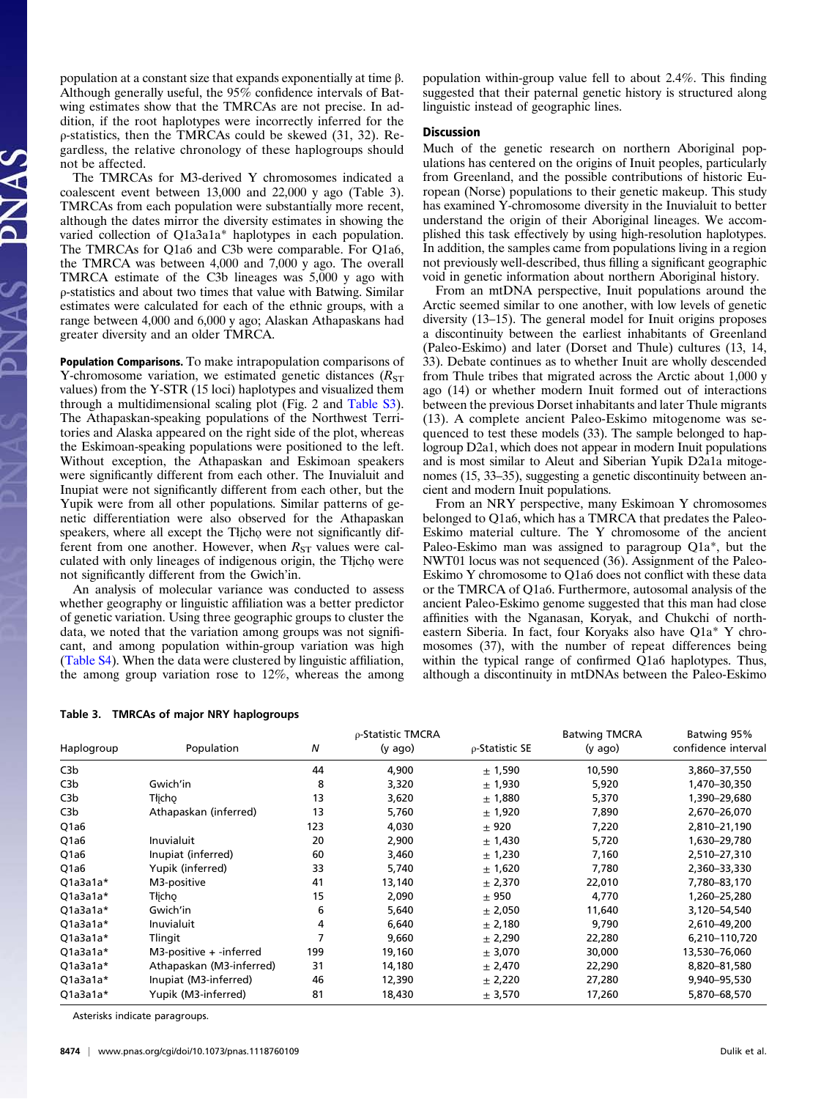population at a constant size that expands exponentially at time β. Although generally useful, the  $95\%$  confidence intervals of Batwing estimates show that the TMRCAs are not precise. In addition, if the root haplotypes were incorrectly inferred for the ρ-statistics, then the TMRCAs could be skewed (31, 32). Regardless, the relative chronology of these haplogroups should not be affected.

The TMRCAs for M3-derived Y chromosomes indicated a coalescent event between 13,000 and 22,000 y ago (Table 3). TMRCAs from each population were substantially more recent, although the dates mirror the diversity estimates in showing the varied collection of Q1a3a1a\* haplotypes in each population. The TMRCAs for Q1a6 and C3b were comparable. For Q1a6, the TMRCA was between 4,000 and 7,000 y ago. The overall TMRCA estimate of the C3b lineages was 5,000 y ago with ρ-statistics and about two times that value with Batwing. Similar estimates were calculated for each of the ethnic groups, with a range between 4,000 and 6,000 y ago; Alaskan Athapaskans had greater diversity and an older TMRCA.

Population Comparisons. To make intrapopulation comparisons of Y-chromosome variation, we estimated genetic distances  $(R<sub>ST</sub>)$ values) from the Y-STR (15 loci) haplotypes and visualized them through a multidimensional scaling plot (Fig. 2 and [Table S3](http://www.pnas.org/lookup/suppl/doi:10.1073/pnas.1118760109/-/DCSupplemental/st03.docx)). The Athapaskan-speaking populations of the Northwest Territories and Alaska appeared on the right side of the plot, whereas the Eskimoan-speaking populations were positioned to the left. Without exception, the Athapaskan and Eskimoan speakers were significantly different from each other. The Inuvialuit and Inupiat were not significantly different from each other, but the Yupik were from all other populations. Similar patterns of genetic differentiation were also observed for the Athapaskan speakers, where all except the Tłįcho were not significantly different from one another. However, when  $R_{ST}$  values were calculated with only lineages of indigenous origin, the Tłicho were not significantly different from the Gwich'in.

An analysis of molecular variance was conducted to assess whether geography or linguistic affiliation was a better predictor of genetic variation. Using three geographic groups to cluster the data, we noted that the variation among groups was not significant, and among population within-group variation was high [\(Table S4](http://www.pnas.org/lookup/suppl/doi:10.1073/pnas.1118760109/-/DCSupplemental/st04.docx)). When the data were clustered by linguistic affiliation, the among group variation rose to 12%, whereas the among

population within-group value fell to about 2.4%. This finding suggested that their paternal genetic history is structured along linguistic instead of geographic lines.

### Discussion

Much of the genetic research on northern Aboriginal populations has centered on the origins of Inuit peoples, particularly from Greenland, and the possible contributions of historic European (Norse) populations to their genetic makeup. This study has examined Y-chromosome diversity in the Inuvialuit to better understand the origin of their Aboriginal lineages. We accomplished this task effectively by using high-resolution haplotypes. In addition, the samples came from populations living in a region not previously well-described, thus filling a significant geographic void in genetic information about northern Aboriginal history.

From an mtDNA perspective, Inuit populations around the Arctic seemed similar to one another, with low levels of genetic diversity (13–15). The general model for Inuit origins proposes a discontinuity between the earliest inhabitants of Greenland (Paleo-Eskimo) and later (Dorset and Thule) cultures (13, 14, 33). Debate continues as to whether Inuit are wholly descended from Thule tribes that migrated across the Arctic about 1,000 y ago (14) or whether modern Inuit formed out of interactions between the previous Dorset inhabitants and later Thule migrants (13). A complete ancient Paleo-Eskimo mitogenome was sequenced to test these models (33). The sample belonged to haplogroup D2a1, which does not appear in modern Inuit populations and is most similar to Aleut and Siberian Yupik D2a1a mitogenomes (15, 33–35), suggesting a genetic discontinuity between ancient and modern Inuit populations.

From an NRY perspective, many Eskimoan Y chromosomes belonged to Q1a6, which has a TMRCA that predates the Paleo-Eskimo material culture. The Y chromosome of the ancient Paleo-Eskimo man was assigned to paragroup Q1a\*, but the NWT01 locus was not sequenced (36). Assignment of the Paleo-Eskimo Y chromosome to Q1a6 does not conflict with these data or the TMRCA of Q1a6. Furthermore, autosomal analysis of the ancient Paleo-Eskimo genome suggested that this man had close affinities with the Nganasan, Koryak, and Chukchi of northeastern Siberia. In fact, four Koryaks also have Q1a\* Y chromosomes (37), with the number of repeat differences being within the typical range of confirmed Q1a6 haplotypes. Thus, although a discontinuity in mtDNAs between the Paleo-Eskimo

|            |                              |                  | p-Statistic TMCRA |                      | <b>Batwing TMCRA</b> | Batwing 95%<br>confidence interval |  |
|------------|------------------------------|------------------|-------------------|----------------------|----------------------|------------------------------------|--|
| Haplogroup | Population                   | $\boldsymbol{N}$ | $(y \text{ ago})$ | $\rho$ -Statistic SE | $(y \text{ ago})$    |                                    |  |
| C3b        |                              | 44               | 4,900             | ± 1,590              | 10,590               | 3,860-37,550                       |  |
| C3b        | Gwich'in                     | 8                | 3,320             | ± 1,930              | 5,920                | 1,470-30,350                       |  |
| C3b        | Tłicho                       | 13               | 3,620             | ± 1,880              | 5,370                | 1,390-29,680                       |  |
| C3b        | Athapaskan (inferred)        | 13               | 5,760             | ± 1,920              | 7,890                | 2,670-26,070                       |  |
| Q1a6       |                              | 123              | 4,030             | ± 920                | 7,220                | 2,810-21,190                       |  |
| Q1a6       | Inuvialuit                   | 20               | 2,900             | ± 1,430              | 5,720                | 1,630-29,780                       |  |
| Q1a6       | Inupiat (inferred)           | 60               | 3,460             | ± 1,230              | 7,160                | 2,510-27,310                       |  |
| Q1a6       | Yupik (inferred)             | 33               | 5,740             | ± 1,620              | 7,780                | 2,360-33,330                       |  |
| $Q1a3a1a*$ | M3-positive                  | 41               | 13,140            | ± 2,370              | 22,010               | 7,780-83,170                       |  |
| Q1a3a1a*   | Tłicho                       | 15               | 2,090             | ± 950                | 4,770                | 1,260-25,280                       |  |
| $Q1a3a1a*$ | Gwich'in                     | 6                | 5,640             | ± 2,050              | 11,640               | 3,120-54,540                       |  |
| $Q1a3a1a*$ | Inuvialuit                   | 4                | 6,640             | ± 2,180              | 9,790                | 2,610-49,200                       |  |
| $Q1a3a1a*$ | Tlingit                      |                  | 9,660             | ± 2,290              | 22,280               | 6,210-110,720                      |  |
| Q1a3a1a*   | $M3$ -positive $+$ -inferred | 199              | 19,160            | ± 3,070              | 30,000               | 13,530-76,060                      |  |
| $Q1a3a1a*$ | Athapaskan (M3-inferred)     | 31               | 14,180            | ± 2,470              | 22,290               | 8,820-81,580                       |  |
| $Q1a3a1a*$ | Inupiat (M3-inferred)        | 46               | 12,390            | ± 2,220              | 27,280               | 9,940-95,530                       |  |
| $Q1a3a1a*$ | Yupik (M3-inferred)          | 81               | 18,430            | ± 3,570              | 17,260               | 5,870-68,570                       |  |

#### Table 3. TMRCAs of major NRY haplogroups

Asterisks indicate paragroups.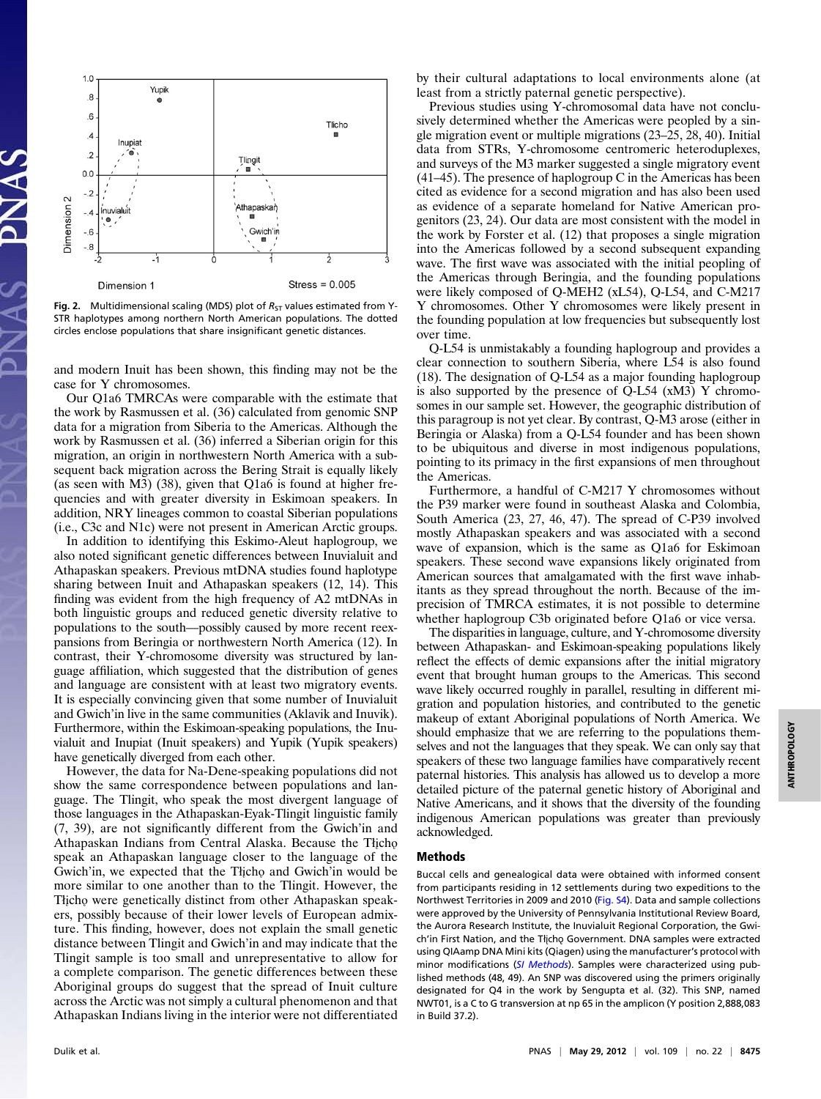

Fig. 2. Multidimensional scaling (MDS) plot of  $R_{ST}$  values estimated from Y-STR haplotypes among northern North American populations. The dotted circles enclose populations that share insignificant genetic distances.

and modern Inuit has been shown, this finding may not be the case for Y chromosomes.

Our Q1a6 TMRCAs were comparable with the estimate that the work by Rasmussen et al. (36) calculated from genomic SNP data for a migration from Siberia to the Americas. Although the work by Rasmussen et al. (36) inferred a Siberian origin for this migration, an origin in northwestern North America with a subsequent back migration across the Bering Strait is equally likely (as seen with M3) (38), given that Q1a6 is found at higher frequencies and with greater diversity in Eskimoan speakers. In addition, NRY lineages common to coastal Siberian populations (i.e., C3c and N1c) were not present in American Arctic groups.

In addition to identifying this Eskimo-Aleut haplogroup, we also noted significant genetic differences between Inuvialuit and Athapaskan speakers. Previous mtDNA studies found haplotype sharing between Inuit and Athapaskan speakers (12, 14). This finding was evident from the high frequency of A2 mtDNAs in both linguistic groups and reduced genetic diversity relative to populations to the south—possibly caused by more recent reexpansions from Beringia or northwestern North America (12). In contrast, their Y-chromosome diversity was structured by language affiliation, which suggested that the distribution of genes and language are consistent with at least two migratory events. It is especially convincing given that some number of Inuvialuit and Gwich'in live in the same communities (Aklavik and Inuvik). Furthermore, within the Eskimoan-speaking populations, the Inuvialuit and Inupiat (Inuit speakers) and Yupik (Yupik speakers) have genetically diverged from each other.

However, the data for Na-Dene-speaking populations did not show the same correspondence between populations and language. The Tlingit, who speak the most divergent language of those languages in the Athapaskan-Eyak-Tlingit linguistic family (7, 39), are not significantly different from the Gwich'in and Athapaskan Indians from Central Alaska. Because the Tłįcho speak an Athapaskan language closer to the language of the Gwich'in, we expected that the Thicho and Gwich'in would be more similar to one another than to the Tlingit. However, the Tłįcho were genetically distinct from other Athapaskan speakers, possibly because of their lower levels of European admixture. This finding, however, does not explain the small genetic distance between Tlingit and Gwich'in and may indicate that the Tlingit sample is too small and unrepresentative to allow for a complete comparison. The genetic differences between these Aboriginal groups do suggest that the spread of Inuit culture across the Arctic was not simply a cultural phenomenon and that Athapaskan Indians living in the interior were not differentiated

by their cultural adaptations to local environments alone (at least from a strictly paternal genetic perspective).

Previous studies using Y-chromosomal data have not conclusively determined whether the Americas were peopled by a single migration event or multiple migrations (23–25, 28, 40). Initial data from STRs, Y-chromosome centromeric heteroduplexes, and surveys of the M3 marker suggested a single migratory event (41–45). The presence of haplogroup C in the Americas has been cited as evidence for a second migration and has also been used as evidence of a separate homeland for Native American progenitors (23, 24). Our data are most consistent with the model in the work by Forster et al. (12) that proposes a single migration into the Americas followed by a second subsequent expanding wave. The first wave was associated with the initial peopling of the Americas through Beringia, and the founding populations were likely composed of Q-MEH2 (xL54), Q-L54, and C-M217 Y chromosomes. Other Y chromosomes were likely present in the founding population at low frequencies but subsequently lost over time.

Q-L54 is unmistakably a founding haplogroup and provides a clear connection to southern Siberia, where L54 is also found (18). The designation of Q-L54 as a major founding haplogroup is also supported by the presence of Q-L54 (xM3) Y chromosomes in our sample set. However, the geographic distribution of this paragroup is not yet clear. By contrast, Q-M3 arose (either in Beringia or Alaska) from a Q-L54 founder and has been shown to be ubiquitous and diverse in most indigenous populations, pointing to its primacy in the first expansions of men throughout the Americas.

Furthermore, a handful of C-M217 Y chromosomes without the P39 marker were found in southeast Alaska and Colombia, South America (23, 27, 46, 47). The spread of C-P39 involved mostly Athapaskan speakers and was associated with a second wave of expansion, which is the same as Q1a6 for Eskimoan speakers. These second wave expansions likely originated from American sources that amalgamated with the first wave inhabitants as they spread throughout the north. Because of the imprecision of TMRCA estimates, it is not possible to determine whether haplogroup C3b originated before Q1a6 or vice versa.

The disparities in language, culture, and Y-chromosome diversity between Athapaskan- and Eskimoan-speaking populations likely reflect the effects of demic expansions after the initial migratory event that brought human groups to the Americas. This second wave likely occurred roughly in parallel, resulting in different migration and population histories, and contributed to the genetic makeup of extant Aboriginal populations of North America. We should emphasize that we are referring to the populations themselves and not the languages that they speak. We can only say that speakers of these two language families have comparatively recent paternal histories. This analysis has allowed us to develop a more detailed picture of the paternal genetic history of Aboriginal and Native Americans, and it shows that the diversity of the founding indigenous American populations was greater than previously acknowledged.

### Methods

Buccal cells and genealogical data were obtained with informed consent from participants residing in 12 settlements during two expeditions to the Northwest Territories in 2009 and 2010 ([Fig. S4\)](http://www.pnas.org/lookup/suppl/doi:10.1073/pnas.1118760109/-/DCSupplemental/pnas.201118760SI.pdf?targetid=nameddest=SF4). Data and sample collections were approved by the University of Pennsylvania Institutional Review Board, the Aurora Research Institute, the Inuvialuit Regional Corporation, the Gwich'in First Nation, and the Tłicho Government. DNA samples were extracted using QIAamp DNA Mini kits (Qiagen) using the manufacturer's protocol with minor modifications ([SI Methods](http://www.pnas.org/lookup/suppl/doi:10.1073/pnas.1118760109/-/DCSupplemental/pnas.201118760SI.pdf?targetid=nameddest=STXT)). Samples were characterized using published methods (48, 49). An SNP was discovered using the primers originally designated for Q4 in the work by Sengupta et al. (32). This SNP, named NWT01, is a C to G transversion at np 65 in the amplicon (Y position 2,888,083 in Build 37.2).